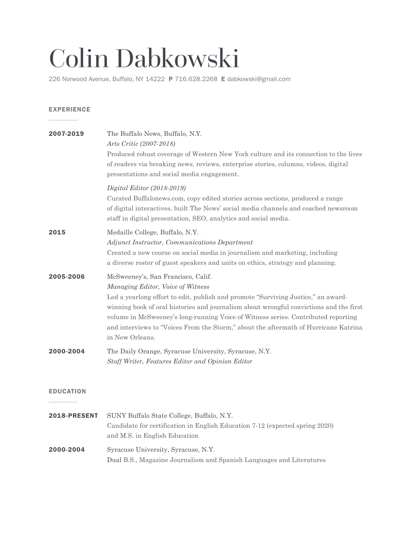# Colin Dabkowski

226 Norwood Avenue, Buffalo, NY 14222 P 716.628.2268 E dabkowski@gmail.com

### EXPERIENCE

 $\frac{1}{\sqrt{2}}$ 

| 2007-2019           | The Buffalo News, Buffalo, N.Y.<br>Arts Critic (2007-2018)<br>Produced robust coverage of Western New York culture and its connection to the lives<br>of readers via breaking news, reviews, enterprise stories, columns, videos, digital<br>presentations and social media engagement.                                                                                                                                                               |
|---------------------|-------------------------------------------------------------------------------------------------------------------------------------------------------------------------------------------------------------------------------------------------------------------------------------------------------------------------------------------------------------------------------------------------------------------------------------------------------|
|                     | $Digital Editor (2018-2019)$<br>Curated Buffalonews.com, copy edited stories across sections, produced a range<br>of digital interactives, built The News' social media channels and coached newsroom<br>staff in digital presentation, SEO, analytics and social media.                                                                                                                                                                              |
| 2015                | Medaille College, Buffalo, N.Y.<br>Adjunct Instructor, Communications Department<br>Created a new course on social media in journalism and marketing, including<br>a diverse roster of guest speakers and units on ethics, strategy and planning.                                                                                                                                                                                                     |
| 2005-2006           | McSweeney's, San Francisco, Calif.<br>Managing Editor, Voice of Witness<br>Led a yearlong effort to edit, publish and promote "Surviving Justice," an award-<br>winning book of oral histories and journalism about wrongful convictions and the first<br>volume in McSweeney's long-running Voice of Witness series. Contributed reporting<br>and interviews to "Voices From the Storm," about the aftermath of Hurricane Katrina<br>in New Orleans. |
| 2000-2004           | The Daily Orange, Syracuse University, Syracuse, N.Y.<br>Staff Writer, Features Editor and Opinion Editor                                                                                                                                                                                                                                                                                                                                             |
| <b>EDUCATION</b>    |                                                                                                                                                                                                                                                                                                                                                                                                                                                       |
| <b>2018-PRESENT</b> | SUNY Buffalo State College, Buffalo, N.Y.<br>Candidate for certification in English Education 7-12 (expected spring 2020)<br>and M.S. in English Education                                                                                                                                                                                                                                                                                            |

# 2000-2004 Syracuse University, Syracuse, N.Y. Dual B.S., Magazine Journalism and Spanish Languages and Literatures